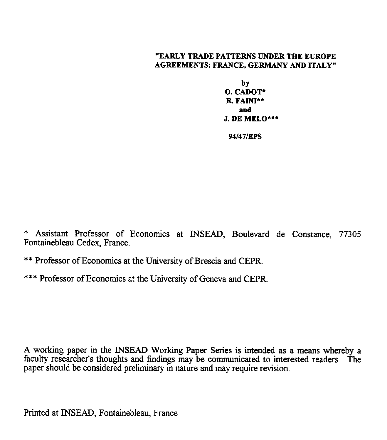#### "EARLY TRADE PATTERNS UNDER THE EUROPE AGREEMENTS: FRANCE, GERMANY AND ITALY"

by 0. CADOT\* R. FAINI•• and J. DE MELO\*\*\*

94/47/EPS

\* Assistant Professor of Economics at INSEAD, Boulevard de Constance, 77305 Fontainebleau Cedex, France.

\*\* Professor of Economics at the University of Brescia and CEPR.

\*\*\* Professor of Economics at the University of Geneva and CEPR.

A working paper in the INSEAD Working Paper Series is intended as a means whereby a faculty researcher's thoughts and findings may be communicated to interested readers. The paper should be considered preliminary in nature and may require revision.

Printed at INSEAD, Fontainebleau, France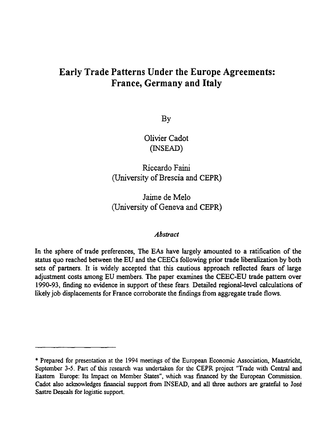# **Early Trade Patterns Under the Europe Agreements: France, Germany and Italy**

By

Olivier Cadot (INSEAD)

Riccardo Faini (University of Brescia and CEPR)

Jaime de Melo (University of Geneva and CEPR)

#### *Abstract*

In the sphere of trade preferences, The **EAs** have largely amounted to a ratification of the status quo reached between the EU and the CEECs following prior trade liberalization by both sets of partners. It is widely accepted that this cautious approach reflected fears of large adjustment costs among EU members. The paper examines the CEEC-EU trade pattern over 1990-93, finding no evidence in support of these fears. Detailed regional-level calculations of likely job displacements for France corroborate the findings from aggregate trade flows.

<sup>\*</sup> Prepared for presentation at the 1994 meetings of the European Economic Association, Maastricht, September 3-5. Part of this research was undertaken for the CEPR project "Trade with Central and Eastern Europe: Its Impact on Member States", which was financed by the European Commission. Cadot also acknowledges financial support from INSEAD, and all three authors are grateful to Jose Sastre Descals for logistic support.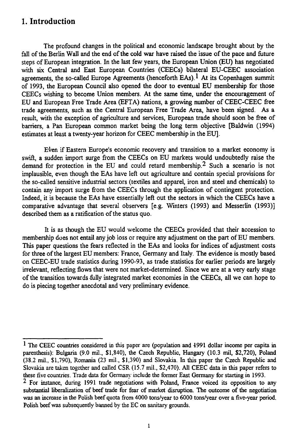## 1. **Introduction**

The profound changes in the political and economic landscape brought about by the fall of the Berlin Wall and the end of the cold war have raised the issue of the pace and future steps of European integration. In the last few years, the European Union (EU) has negotiated with six Central and East European Countries (CEECs) bilateral EU-CEEC association agreements, the so-called Europe Agreements (henceforth **EAs).** <sup>1</sup> At its Copenhagen summit of 1993, the European Council also opened the door to eventual EU membership for those CEECs wishing to become Union members. At the same time, under the encouragement of EU and European Free Trade Area (EFTA) nations, a growing number of CEEC-CEEC free trade agreements, such as the Central European Free Trade Area, have been signed. As a result, with the exception of agriculture and services, European trade should soon be free of barriers, a Pan European common market being the long term objective [Baldwin (1994) estimates at least a twenty-year horizon for CEEC membership in the EU].

Even if Eastern Europe's economic recovery and transition to a market economy is swift, a sudden import surge from the CEECs on EU markets would undoubtedly raise the demand for protection in the EU and could retard membership. 2 Such a scenario is not implausible, even though the EAs have left out agriculture and contain special provisions for the so-called sensitive industrial sectors (textiles and apparel, iron and steel and chemicals) to contain any import surge from the CEECs through the application of contingent protection. Indeed, it is because the EAs have essentially left out the sectors in which the CEECs have a comparative advantage that several observers [e.g. Winters (1993) and Messerlin (1993)] described them as a ratification of the status quo.

It is *as* though the EU would welcome the CEECs provided that their accession to membership does not entail any job loss or require any adjustment on the part of EU members. This paper questions the fears reflected in the EAs and looks for indices of adjustment costs for three of the largest EU members: France, Germany and Italy. The evidence is mostly based on CEEC-EU trade statistics during 1990-93, as trade statistics for earlier periods are largely irrelevant, reflecting flows that were not market-determined. Since we are at a very early stage of the transition towards -fully integrated market economies in the CEECs, all we can hope to do is piecing together anecdotal and very preliminary evidence.

<sup>1</sup> The CEEC countries considered in this paper are (population and 4991 dollar income per capita in parenthesis): Bulgaria (9.0 mil., \$1,840), the Czech Republic, Hungary (10.3 mil, \$2,720), Poland (38.2 mil., \$1,790), Romania (23 mil., \$1,390) and Slovakia. In this paper the Czech Republic and Slovakia are taken together and called CSR (15.7 mil., \$2,470). All CEEC data in this paper refers to these five countries. Trade data for Germany include the former East Germany for starting in 1993.

 $2$  For instance, during 1991 trade negotiations with Poland, France voiced its opposition to any substantial liberalization of beef trade for fear of market disruption. The outcome of the negotiation *was an* increase in the Polish beef quota from 4000 tons/year to 6000 tons/year over a five-year period. Polish beef was subsequently banned by the EC on sanitary grounds.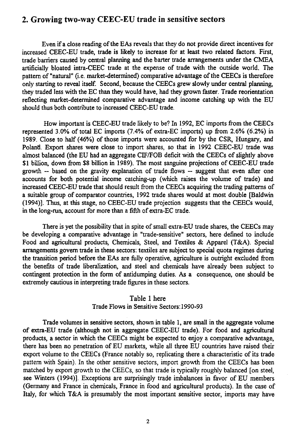## 2. Growing two-way CEEC-EU trade in sensitive sectors

Even if a close reading of the EAs reveals that they do not provide direct incentives for increased CEEC-EU trade, trade is likely to increase for at least two related factors. First, trade barriers caused by central planning and the barter trade arrangements under the CMEA artificially bloated intra-CEEC trade at the expense of trade with the outside world. The pattern of "natural" (i.e. market-determined) comparative advantage of the CEECs is therefore only starting to reveal itself. Second, because the CEECs grew slowly under central planning, they traded less with the EC than they would have, had they grown faster. Trade reorientation reflecting market-determined comparative advantage and income catching up with the EU should thus both contribute to increased CEEC-EU trade.

How important is CEEC-EU trade likely to be? In 1992, EC imports from the CEECs represented 3.0% of total EC imports (7.4% of extra-EC imports) up from 2.6% (6.2%) in 1989. Close to half (46%) of those imports were accounted for by the CSR, Hungary, and Poland. Export shares were close to import shares, so that in 1992 CEEC-EU trade was almost balanced (the EU had an aggregate CIF/FOB deficit with the CEECs of slightly above \$1 billion, down from \$8 billion in 1989). The most sanguine projections of CEEC-EU trade growth — based on the gravity explanation of trade flows — suggest that even after one accounts for both potential income catching-up (which raises the volume of trade) and increased CEEC-EU trade that should result from the CEECs acquiring the trading patterns of a suitable group of comparator countries, 1992 trade shares would at most double [Baldwin (1994)]. Thus, at this stage, no CEEC-EU trade projection suggests that the CEECs would, in the long-run, account for more than a fifth of extra-EC trade.

There is yet the possibility that in spite of small extra-EU trade shares, the CEECs may be developing a comparative advantage in "trade-sensitive" sectors, here defined to include Food and agricultural products, Chemicals, Steel, and Textiles & Apparel (T&A). Special arrangements govern trade in these sectors: textiles are subject to special quota regimes during the transition period before the EAs are fully operative, agriculture is outright excluded from the benefits of trade liberalization, and steel and chemicals have already been subject to contingent protection in the form of antidumping duties. As a consequence, one should be extremely cautious in interpreting trade figures in these sectors.

## Table 1 here Trade Flows in Sensitive Sectors:1990-93

Trade volumes in sensitive sectors, shown in table 1, are small in the aggregate volume of extra-EU trade (although not in aggregate CEEC-EU trade). For food and agricultural products, a sector in which the CEECs might be expected to enjoy a comparative advantage, there has been no penetration of EU markets, while all three EU countries have raised their export volume to the CEECs (France notably so, replicating there a characteristic of its trade pattern with Spain). In the other sensitive sectors, import growth from the CEECs has been matched by export growth to the CEECs, so that trade is typically roughly balanced [on steel, see Winters (1994)]. Exceptions are surprisingly trade imbalances in favor of EU members (Germany and France in chemicals, France in food and agricultural products). In the case of Italy, for which T&A is presumably the most important sensitive sector, imports may have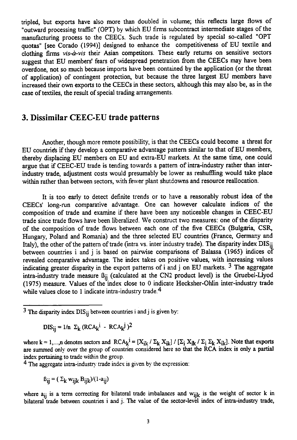tripled, but exports have also more than doubled in volume; this reflects large flows of "outward processing traffic" (OPT) by which EU firms subcontract intermediate stages of the manufacturing process to the CEECs. Such trade is regulated by special so-called "OPT quotas" [see Corado (1994)] designed to enhance the competitiveness of EU textile and clothing firms *vis-a-vis* their Asian competitors. These early returns on sensitive sectors suggest that EU members' fears of widespread penetration from the CEECs may have been overdone, not so much because imports have been contained by the application (or the threat of application) of contingent protection, but because the three largest EU members have increased their own exports to the CEECs in these sectors, although this may also be, as in the case of textiles, the result of special trading arrangements.

## **3. Dissimilar CEEC-EU trade patterns**

Another, though more remote possibility, is that the CEECs could become a threat for EU countries if they develop a comparative advantage pattern similar to that of EU members, thereby displacing EU members on EU and extra-EU markets. At the same time, one could argue that if CEEC-EU trade is tending towards a pattern of intra-industry rather than interindustry trade, adjustment costs would presumably be lower as reshuffling would take place within rather than between sectors, with fewer plant shutdowns and resource reallocation.

It is too early to detect definite trends or to have a reasonably robust idea of the CEECs' long-run comparative advantage. One can however calculate indices of the composition of trade and examine if there have been any noticeable changes in CEEC-EU trade since trade flows have been liberalized. We construct two measures: one of the disparity of the composition of trade flows between each one of the five CEECs (Bulgaria, CSR, Hungary, Poland and Romania) and the three selected EU countries (France, Germany and Italy), the other of the pattern of trade (intra vs. inter industry trade). The disparity index DIS<sub>ii</sub> between countries i and j is based on pairwise comparisons of Balassa (1965) indices of revealed comparative advantage. The index takes on positive values, with increasing values indicating greater disparity in the export patterns of i and j on EU markets. 3 The aggregate intra-industry trade measure B<sub>ij</sub> (calculated at the CN2 product level) is the Gruebel-Llyod (1975) measure. Values of the index close to 0 indicate Hecksher-Ohlin inter-industry trade while values close to 1 indicate intra-industry trade.<sup>4</sup>

$$
DIS_{ii} = 1/n \Sigma_k (RCA_k^i - RCA_k^j)^2
$$

where k = 1,...,n denotes sectors and RCA<sub>k</sub><sup>i</sup> =  $[X_{ik}/\Sigma_k X_{ik}] / [\Sigma_i X_{ik}/\Sigma_i \Sigma_k X_{ik}]$ . Note that exports are summed only over the group of countries considered here so that the RCA index is only a partial index pertaining to trade within the group.

<sup>4</sup> The aggregate intra-industry trade index is given by the expression:

 $B_{ii} = (\Sigma_k w_{ijk} B_{ijk})/(1-a_{ii})$ 

where  $a_{ii}$  is a term correcting for bilateral trade imbalances and w<sub>ijk</sub> is the weight of sector k in bilateral trade between countries i and j. The value of the sector-level index of intra-industry trade,

 $3$  The disparity index DIS<sub>ij</sub> between countries i and j is given by: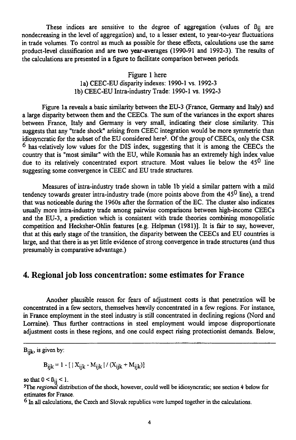These indices are sensitive to the degree of aggregation (values of  $B_{ii}$  are nondecreasing in the level of aggregation) and, to a lesser extent, to year-to-year fluctuations in trade volumes. To control as much as possible for these effects, calculations use the same product-level classification and are two year-averages (1990-91 and 1992-3). The results of the calculations are presented in a figure to facilitate comparison between periods.

### Figure 1 here la) CEEC-EU disparity indexes: 1990-1 vs. 1992-3 lb) CEEC-EU Intra-industry Trade: 1990-1 vs. 1992-3

Figure la reveals a basic similarity between the EU-3 (France, Germany and Italy) and a large disparity between them and the CEECs. The sum of the variances in the export shares between France, Italy and Germany is very small, indicating their close similarity. This suggests that any "trade shock" arising from CEEC integration would be more symmetric than idiosyncratic for the subset of the EU considered here<sup>5</sup>. Of the group of CEECs, only the CSR 6 has 'relatively low values for the DIS index, suggesting that it is among the CEECs the country that is "most similar" with the EU, while Romania has an extremely high index value due to its relatively concentrated export structure. Most values lie below the  $45^{\circ}$  line suggesting some convergence in CEEC and EU trade structures.

Measures of intra-industry trade shown in table lb yield a similar pattern with a mild tendency towards greater intra-industry trade (more points above from the  $45<sup>0</sup>$  line), a trend that was noticeable during the 1960s after the formation of the EC. The cluster also indicates usually more intra-industry trade among pairwise comparisons between high-income CEECs and the EU-3, a prediction which is consistent with trade theories combining monopolistic competition and Hecksher-Ohlin features [e.g. Helpman (1981)]. It is fair to say, however, that at this early stage of the transition, the disparity between the CEECs and EU countries is large, and that there is as yet little evidence of strong convergence in trade structures (and thus presumably in comparative advantage.)

# **4. Regional job loss concentration: some estimates for France**

Another plausible reason for fears of adjustment costs is that penetration will be concentrated in a few sectors, themselves heavily concentrated in a few regions. For instance, in France employment in the steel industry is still concentrated in declining regions (Nord and Lorraine). Thus further contractions in steel employment would impose disproportionate adjustment costs in these regions, and one could expect rising protectionist demands. Below, **13-k probabilism**<br>
13-k and the plausible reason for fears<br>
13-k and the sectors, themselves heaven<br>
13-k are employment in the steel industry is<br>
13-k and the series of the steel industry<br>
13-k in these regions, and one

 $B_{ijk}$ , is given by:

so that  $0 < \beta_{ij} < 1$ .

<sup>5</sup>The *regional* distribution of the shock; however, could well be idiosyncratic; see section 4 below for estimates for France.

<sup>6</sup> In all calculations, the Czech and Slovak republics were lumped together in the calculations.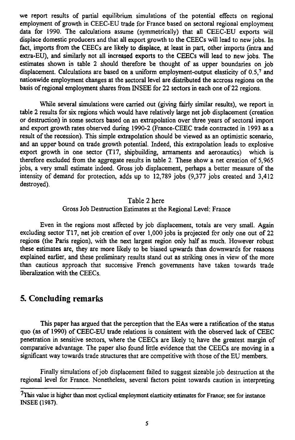we report results of partial equilibrium simulations of the potential effects on regional employment of growth in CEEC-EU trade for France based on sectoral regional employment data for 1990. The calculations assume (symmetrically) that all CEEC-EU exports will displace domestic producers and that all export growth to the CEECs will lead to new jobs. In fact, imports from the CEECs are likely *to* displace, at least in part, other imports (intra and extra-EU), and similarly not all increased exports to the CEECs will lead to new jobs. The estimates shown in table 2 should therefore be thought of as upper boundaries on job displacement. Calculations are based on a uniform employment-output elasticity of  $0.5$ ,<sup>7</sup> and nationwide employment changes at the sectoral level are distributed the accross regions on the basis of regional employment shares from INSEE for 22 sectors in each one of 22 regions.

While several simulations were carried out (giving fairly similar results), we report in table 2 results for six regions which would have relatively large net job displacement (creation or destruction) in some sectors based on an extrapolation over three years of sectoral import and export growth rates observed during 1990-2 (France-CEEC trade contracted in 1993 as a result of the recession). This simple extrapolation should be viewed as an optimistic scenario, and an upper bound on trade growth potential. Indeed, this extrapolation leads to explosive export growth in one sector (T17, shipbuilding, armaments and aeronautics) which is therefore excluded from the aggregate results in table 2. These show a net creation of 5,965 jobs, a very small estimate indeed. Gross job displacement, perhaps a better measure of the intensity of demand for protection, adds up to 12,789 jobs (9,377 jobs created and 3,412 destroyed).

#### Table 2 here

### Gross Job Destruction Estimates at the Regional Level: France

Even in the regions most affected by job displacement, totals are very small. Again excluding sector T17, net job creation of over 1,000 jobs *is* projected for only one out of 22 regions (the Paris region), with the next largest region only half as much. However robust these estimates are, they are more likely to be biased upwards than downwards for reasons explained earlier, and these preliminary results stand out *as* striking ones in view of the more than cautious approach that successive French governments have taken towards trade liberalization with the CEECs.

## **5. Concluding remarks**

This paper has argued that the perception that the EAs were a ratification of the status quo (as of 1990) of CEEC-EU trade relations is consistent with the observed lack of CEEC penetration in sensitive sectors, where the CEECs are likely to have the greatest margin of comparative advantage. The paper also found little evidence that the CEECs are moving in a significant way towards trade structures that are competitive with those of the EU members.

Finally simulations of job displacement failed to suggest sizeable job destruction at the regional level for France. Nonetheless, several factors point towards caution in interpreting

<sup>7</sup>This value is higher than most cyclical employment elasticity estimates for France; see for instance INSEE (1987).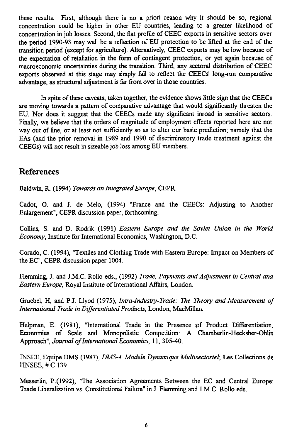these results. First, although there is no a priori reason why it should be so, regional concentration could be higher in other EU countries, leading to a greater likelihood of concentration in job losses. Second, the flat profile of CEEC exports in sensitive sectors over the period 1990-93 may well be a reflection of EU protection to be lifted at the end of the transition period (except for agriculture). Alternatively, CEEC exports may be low because of the expectation of retaliation in the form of contingent protection, or yet again because of macroeconomic uncertainties during the transition. Third, any sectoral distribution of CEEC exports observed at this stage may simply fail to reflect the CEECs' long-run comparative advantage, as structural adjustment is far from over in those countries.

In spite of these caveats, taken together, the evidence shows little sign that the CEECs are moving towards a pattern of comparative advantage that would significantly threaten the EU. Nor does it suggest that the CEECs made any significant inroad in sensitive sectors. Finally, we believe that the orders of magnitude of employment effects reported here are not way out of line, or at least not sufficiently so as to alter our basic prediction; namely that the EAs (and the prior removal in 1989 and 1990 of discriminatory trade treatment against the CEEGs) will not result in sizeable job loss among EU members.

# **References**

Baldwin, R. (1994) *Towards an Integrated Europe,* CEPR.

Cadot, 0. and J. de Melo, (1994) "France and the CEECs: Adjusting to Another Enlargement", CEPR discussion paper, forthcoming.

Collins, S. and D. Rodrik (1991) *Eastern Europe and the Soviet Union in the World Economy,* Institute for International Economics, Washington, D.C.

Corado, C. (1994), "Textiles and Clothing Trade with Eastern Europe: Impact on Members of the EC", CEPR discussion paper 1004.

Flemming, J. and J.M.C. Rollo eds., (1992) *Trade, Payments and Adjustment in Central and Eastern Europe,* Royal Institute of International Affairs, London.

Gruebel, H, and P.J. Llyod (1975), *Intra-Industry-Trade: The Theory and Measurement of International Trade in Differentiated Products,* London, MacMillan.

Helpman, E. (1981), "International Trade in the Presence ;of Product Differentiation, Economies of Scale and Monopolistic Competition: A Chamberlin-Hecksher-Ohlin Approach", *Journal of International Economics,* 11, 305-40.

INSEE, Equipe DMS (1987), *DMS-4, Modele Dynamique Multisectoriel;* Les Collections de l'INSEE, # C 139.

Messerlin, P.(1992), "The Association Agreements Between the EC and Central Europe: Trade Liberalization vs. Constitutional Failure" in J. Flemming and J.M.C. Rollo eds.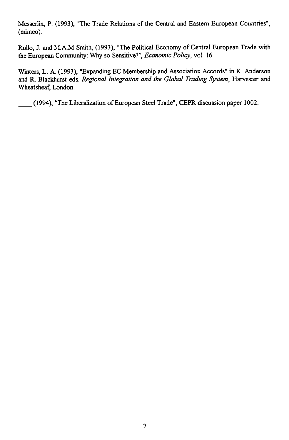Messerlin, P. (1993), "The Trade Relations of the Central and Eastern European Countries", (mimeo).

Rollo, J. and M.A.M Smith, (1993), "The Political Economy of Central European Trade with the European Community: Why so Sensitive?", *Economic Policy,* vol. 16

Winters, L. A. (1993), "Expanding EC Membership and Association Accords" in K. Anderson and R. Blackhurst eds. *Regional Integration and the Global Trading System,* Harvester and Wheatsheaf, London.

(1994), "The Liberalization of European Steel Trade", CEPR discussion paper 1002.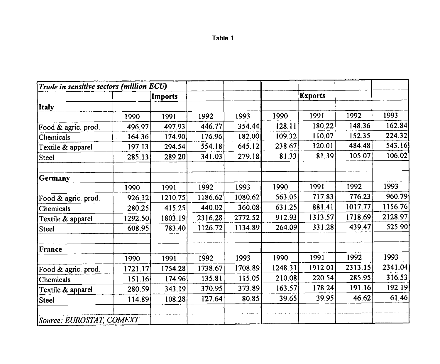| Trade in sensitive sectors (million ECU) |         |                |         |         |         |                |         |         |
|------------------------------------------|---------|----------------|---------|---------|---------|----------------|---------|---------|
|                                          |         | <b>Imports</b> |         |         |         | <b>Exports</b> |         |         |
| Italy                                    |         |                |         |         |         |                |         |         |
|                                          | 1990    | 1991           | 1992    | 1993    | 1990    | 1991           | 1992    | 1993    |
| Food & agric. prod.                      | 496.97  | 497.93         | 446.77  | 354.44  | 128.11  | 180.22         | 148.36  | 162.84  |
| Chemicals                                | 164.36  | 174.90         | 176.96  | 182.00  | 109.32  | 110.07         | 152.35  | 224.32  |
| Textile & apparel                        | 197.13  | 294.54         | 554.18  | 645.12  | 238.67  | 320.01         | 484.48  | 543.16  |
| <b>Steel</b>                             | 285.13  | 289.20         | 341.03  | 279.18  | 81.33   | 81.39          | 105.07  | 106.02  |
| Germany                                  |         |                |         |         |         |                |         |         |
|                                          | 1990    | 1991           | 1992    | 1993    | 1990    | 1991           | 1992    | 1993    |
| Food & agric. prod.                      | 926.32  | 1210.75        | 1186.62 | 1080.62 | 563.05  | 717.83         | 776.23  | 960.79  |
| Chemicals                                | 280.25  | 415.25         | 440.02  | 360.08  | 631.25  | 881.41         | 1017.77 | 1156.76 |
| Textile & apparel                        | 1292.50 | 1803.19        | 2316.28 | 2772.52 | 912.93  | 1313.57        | 1718.69 | 2128.97 |
| Steel                                    | 608.95  | 783,40         | 1126.72 | 1134.89 | 264.09  | 331.28         | 439.47  | 525.90  |
| France                                   |         |                |         |         |         |                |         |         |
|                                          | 1990    | 1991           | 1992    | 1993    | 1990    | 1991           | 1992    | 1993    |
| Food & agric. prod.                      | 1721.17 | 1754.28        | 1738.67 | 1708.89 | 1248.31 | 1912.01        | 2313.15 | 2341.04 |
| Chemicals                                | 151.16  | 174.96         | 135.81  | 115.05  | 210.08  | 220.54         | 285.95  | 316.53  |
| Textile & apparel                        | 280.59  | 343.19         | 370.95  | 373.89  | 163.57  | 178.24         | 191.16  | 192.19  |
| Steel                                    | 114.89  | 108.28         | 127.64  | 80.85   | 39.65   | 39.95          | 46.62   | 61.46   |
| Source: EUROSTAT, COMEXT                 |         |                |         |         |         |                |         |         |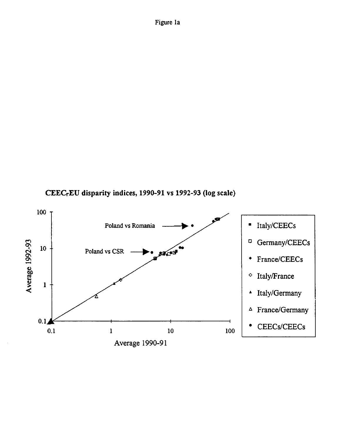**CEECrEU disparity indices, 1990-91 vs** 1992-93 (log scale)

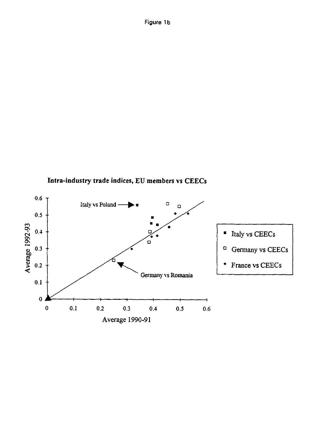